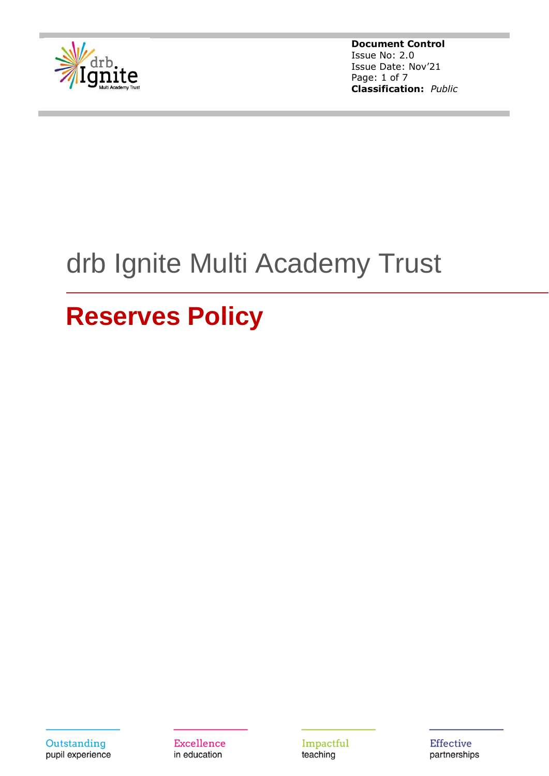

**Document Control** Issue No: 2.0 Issue Date: Nov'21 Page: 1 of 7 **Classification:** *Public*

# drb Ignite Multi Academy Trust

## **Reserves Policy**

Outstanding pupil experience

**Excellence** in education

Impactful teaching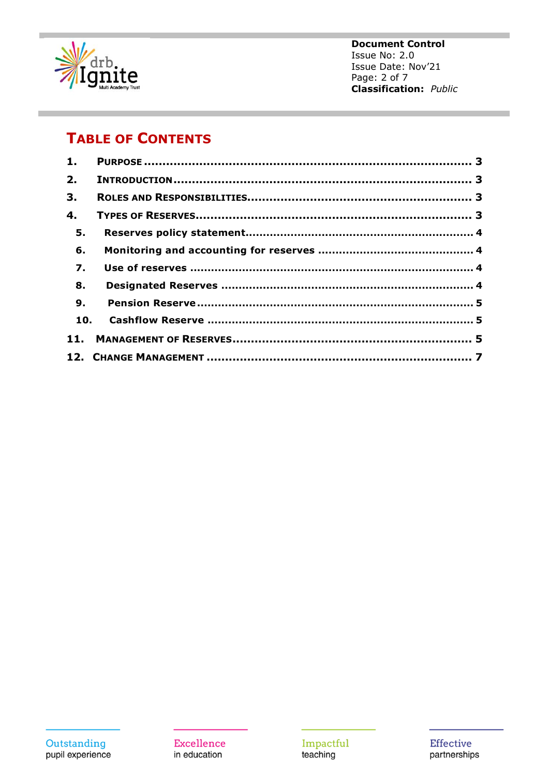

**Document Control** Issue No: 2.0 Issue Date: Nov'21 Page: 2 of 7 **Classification:** Public

### **TABLE OF CONTENTS**

| 1.               |  |
|------------------|--|
| 2.               |  |
| 3.               |  |
| 4.               |  |
| 5.               |  |
| 6.               |  |
| $\overline{7}$ . |  |
| 8.               |  |
| 9.               |  |
| 10.              |  |
|                  |  |
|                  |  |

**Excellence** in education

Impactful<br>teaching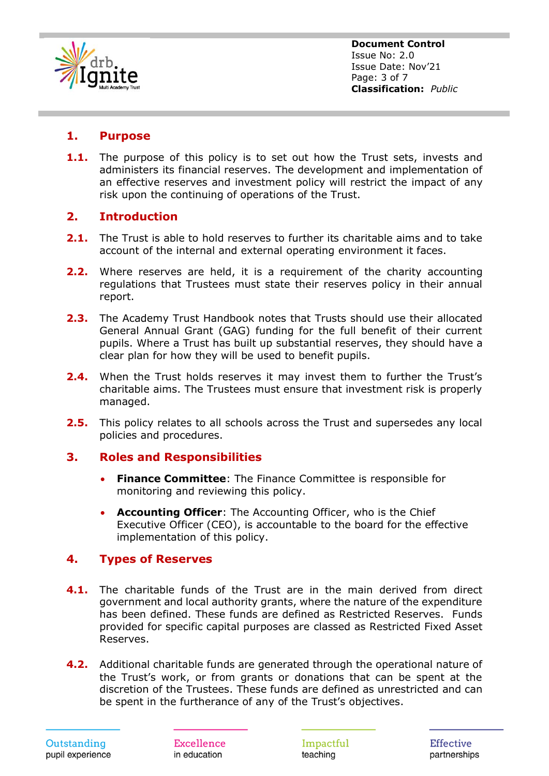

#### <span id="page-2-0"></span>**1. Purpose**

**1.1.** The purpose of this policy is to set out how the Trust sets, invests and administers its financial reserves. The development and implementation of an effective reserves and investment policy will restrict the impact of any risk upon the continuing of operations of the Trust.

#### <span id="page-2-1"></span>**2. Introduction**

- **2.1.** The Trust is able to hold reserves to further its charitable aims and to take account of the internal and external operating environment it faces.
- **2.2.** Where reserves are held, it is a requirement of the charity accounting regulations that Trustees must state their reserves policy in their annual report.
- **2.3.** The Academy Trust Handbook notes that Trusts should use their allocated General Annual Grant (GAG) funding for the full benefit of their current pupils. Where a Trust has built up substantial reserves, they should have a clear plan for how they will be used to benefit pupils.
- **2.4.** When the Trust holds reserves it may invest them to further the Trust's charitable aims. The Trustees must ensure that investment risk is properly managed.
- **2.5.** This policy relates to all schools across the Trust and supersedes any local policies and procedures.

#### <span id="page-2-2"></span>**3. Roles and Responsibilities**

- **Finance Committee**: The Finance Committee is responsible for monitoring and reviewing this policy.
- **Accounting Officer**: The Accounting Officer, who is the Chief Executive Officer (CEO), is accountable to the board for the effective implementation of this policy.

#### <span id="page-2-3"></span>**4. Types of Reserves**

- **4.1.** The charitable funds of the Trust are in the main derived from direct government and local authority grants, where the nature of the expenditure has been defined. These funds are defined as Restricted Reserves. Funds provided for specific capital purposes are classed as Restricted Fixed Asset Reserves.
- **4.2.** Additional charitable funds are generated through the operational nature of the Trust's work, or from grants or donations that can be spent at the discretion of the Trustees. These funds are defined as unrestricted and can be spent in the furtherance of any of the Trust's objectives.

Excellence in education

Impactful teaching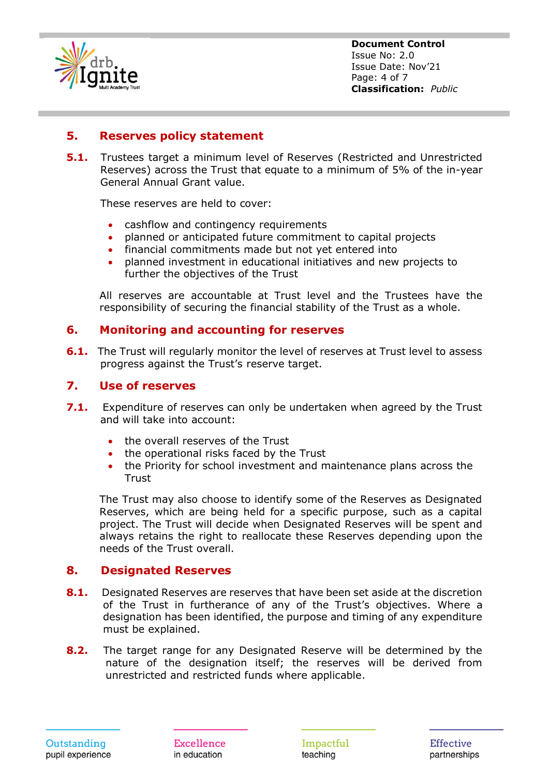

**Document Control** Issue No: 2.0 Issue Date: Nov'21 Page: 4 of 7 **Classification:** *Public*

#### <span id="page-3-0"></span>**5. Reserves policy statement**

**5.1.** Trustees target a minimum level of Reserves (Restricted and Unrestricted Reserves) across the Trust that equate to a minimum of 5% of the in-year General Annual Grant value.

These reserves are held to cover:

- cashflow and contingency requirements
- planned or anticipated future commitment to capital projects
- financial commitments made but not yet entered into
- planned investment in educational initiatives and new projects to further the objectives of the Trust

All reserves are accountable at Trust level and the Trustees have the responsibility of securing the financial stability of the Trust as a whole.

#### <span id="page-3-1"></span>**6. Monitoring and accounting for reserves**

**6.1.** The Trust will regularly monitor the level of reserves at Trust level to assess progress against the Trust's reserve target.

#### <span id="page-3-2"></span>**7. Use of reserves**

- **7.1.** Expenditure of reserves can only be undertaken when agreed by the Trust and will take into account:
	- the overall reserves of the Trust
	- the operational risks faced by the Trust
	- the Priority for school investment and maintenance plans across the **Trust**

The Trust may also choose to identify some of the Reserves as Designated Reserves, which are being held for a specific purpose, such as a capital project. The Trust will decide when Designated Reserves will be spent and always retains the right to reallocate these Reserves depending upon the needs of the Trust overall.

#### <span id="page-3-3"></span>**8. Designated Reserves**

- **8.1.** Designated Reserves are reserves that have been set aside at the discretion of the Trust in furtherance of any of the Trust's objectives. Where a designation has been identified, the purpose and timing of any expenditure must be explained.
- **8.2.** The target range for any Designated Reserve will be determined by the nature of the designation itself; the reserves will be derived from unrestricted and restricted funds where applicable.

Excellence in education

Impactful teaching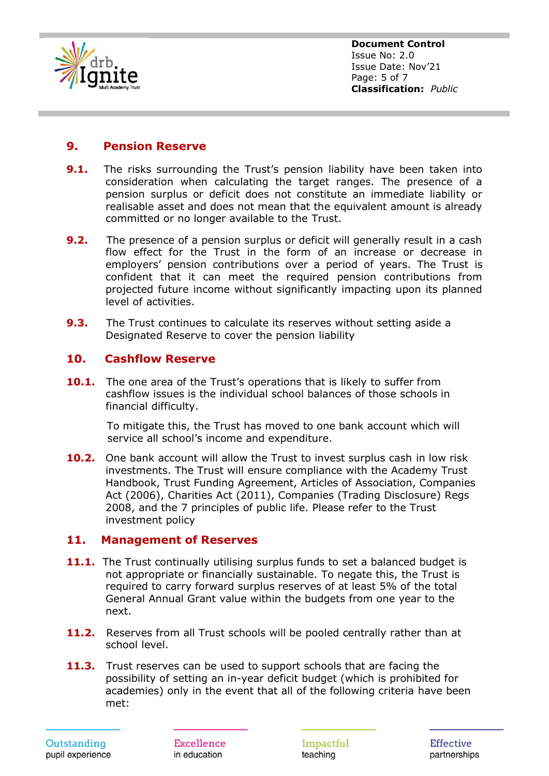

**Document Control** Issue No: 2.0 Issue Date: Nov'21 Page: 5 of 7 **Classification:** *Public*

#### <span id="page-4-0"></span>**9. Pension Reserve**

- **9.1.** The risks surrounding the Trust's pension liability have been taken into consideration when calculating the target ranges. The presence of a pension surplus or deficit does not constitute an immediate liability or realisable asset and does not mean that the equivalent amount is already committed or no longer available to the Trust.
- **9.2.** The presence of a pension surplus or deficit will generally result in a cash flow effect for the Trust in the form of an increase or decrease in employers' pension contributions over a period of years. The Trust is confident that it can meet the required pension contributions from projected future income without significantly impacting upon its planned level of activities.
- **9.3.** The Trust continues to calculate its reserves without setting aside a Designated Reserve to cover the pension liability

#### <span id="page-4-1"></span>**10. Cashflow Reserve**

**10.1.** The one area of the Trust's operations that is likely to suffer from cashflow issues is the individual school balances of those schools in financial difficulty.

> To mitigate this, the Trust has moved to one bank account which will service all school's income and expenditure.

**10.2.** One bank account will allow the Trust to invest surplus cash in low risk investments. The Trust will ensure compliance with the Academy Trust Handbook, Trust Funding Agreement, Articles of Association, Companies Act (2006), Charities Act (2011), Companies (Trading Disclosure) Regs 2008, and the 7 principles of public life. Please refer to the Trust investment policy

#### <span id="page-4-2"></span>**11. Management of Reserves**

- **11.1.** The Trust continually utilising surplus funds to set a balanced budget is not appropriate or financially sustainable. To negate this, the Trust is required to carry forward surplus reserves of at least 5% of the total General Annual Grant value within the budgets from one year to the next.
- **11.2.** Reserves from all Trust schools will be pooled centrally rather than at school level.
- **11.3.** Trust reserves can be used to support schools that are facing the possibility of setting an in-year deficit budget (which is prohibited for academies) only in the event that all of the following criteria have been met:

Excellence in education

Impactful teaching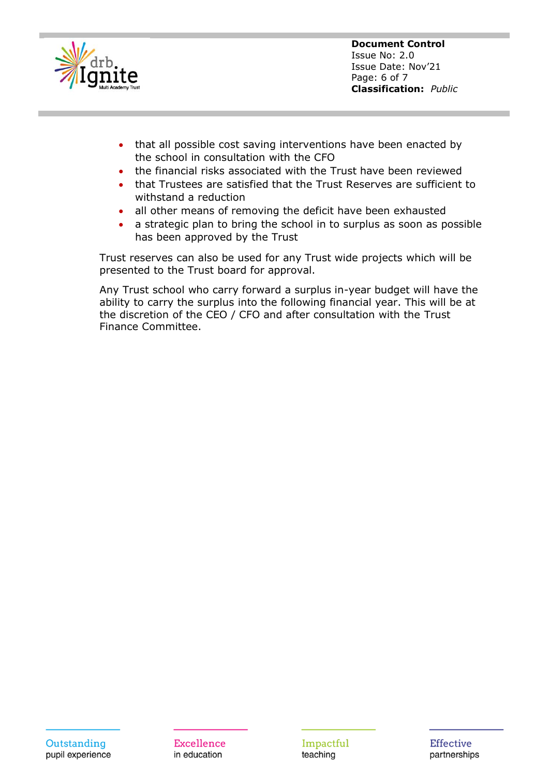

**Document Control** Issue No: 2.0 Issue Date: Nov'21 Page: 6 of 7 **Classification:** *Public*

- that all possible cost saving interventions have been enacted by the school in consultation with the CFO
- the financial risks associated with the Trust have been reviewed
- that Trustees are satisfied that the Trust Reserves are sufficient to withstand a reduction
- all other means of removing the deficit have been exhausted
- a strategic plan to bring the school in to surplus as soon as possible has been approved by the Trust

Trust reserves can also be used for any Trust wide projects which will be presented to the Trust board for approval.

Any Trust school who carry forward a surplus in-year budget will have the ability to carry the surplus into the following financial year. This will be at the discretion of the CEO / CFO and after consultation with the Trust Finance Committee.

Impactful teaching